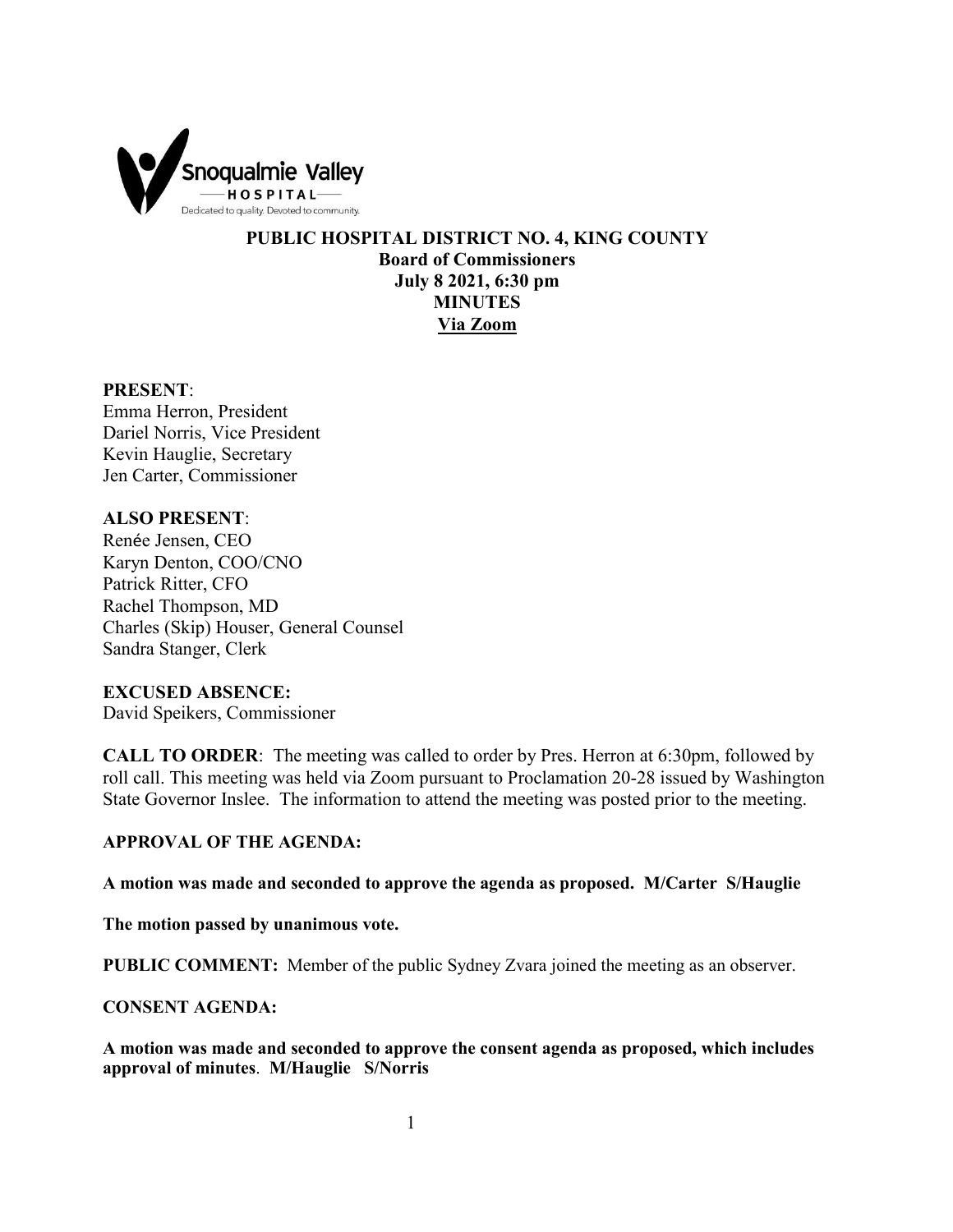

**PUBLIC HOSPITAL DISTRICT NO. 4, KING COUNTY Board of Commissioners July 8 2021, 6:30 pm MINUTES Via Zoom**

#### **PRESENT**:

Emma Herron, President Dariel Norris, Vice President Kevin Hauglie, Secretary Jen Carter, Commissioner

## **ALSO PRESENT**:

Renée Jensen, CEO Karyn Denton, COO/CNO Patrick Ritter, CFO Rachel Thompson, MD Charles (Skip) Houser, General Counsel Sandra Stanger, Clerk

### **EXCUSED ABSENCE:**

David Speikers, Commissioner

**CALL TO ORDER**: The meeting was called to order by Pres. Herron at 6:30pm, followed by roll call. This meeting was held via Zoom pursuant to Proclamation 20-28 issued by Washington State Governor Inslee. The information to attend the meeting was posted prior to the meeting.

### **APPROVAL OF THE AGENDA:**

**A motion was made and seconded to approve the agenda as proposed. M/Carter S/Hauglie**

**The motion passed by unanimous vote.** 

**PUBLIC COMMENT:** Member of the public Sydney Zvara joined the meeting as an observer.

#### **CONSENT AGENDA:**

**A motion was made and seconded to approve the consent agenda as proposed, which includes approval of minutes**. **M/Hauglie S/Norris**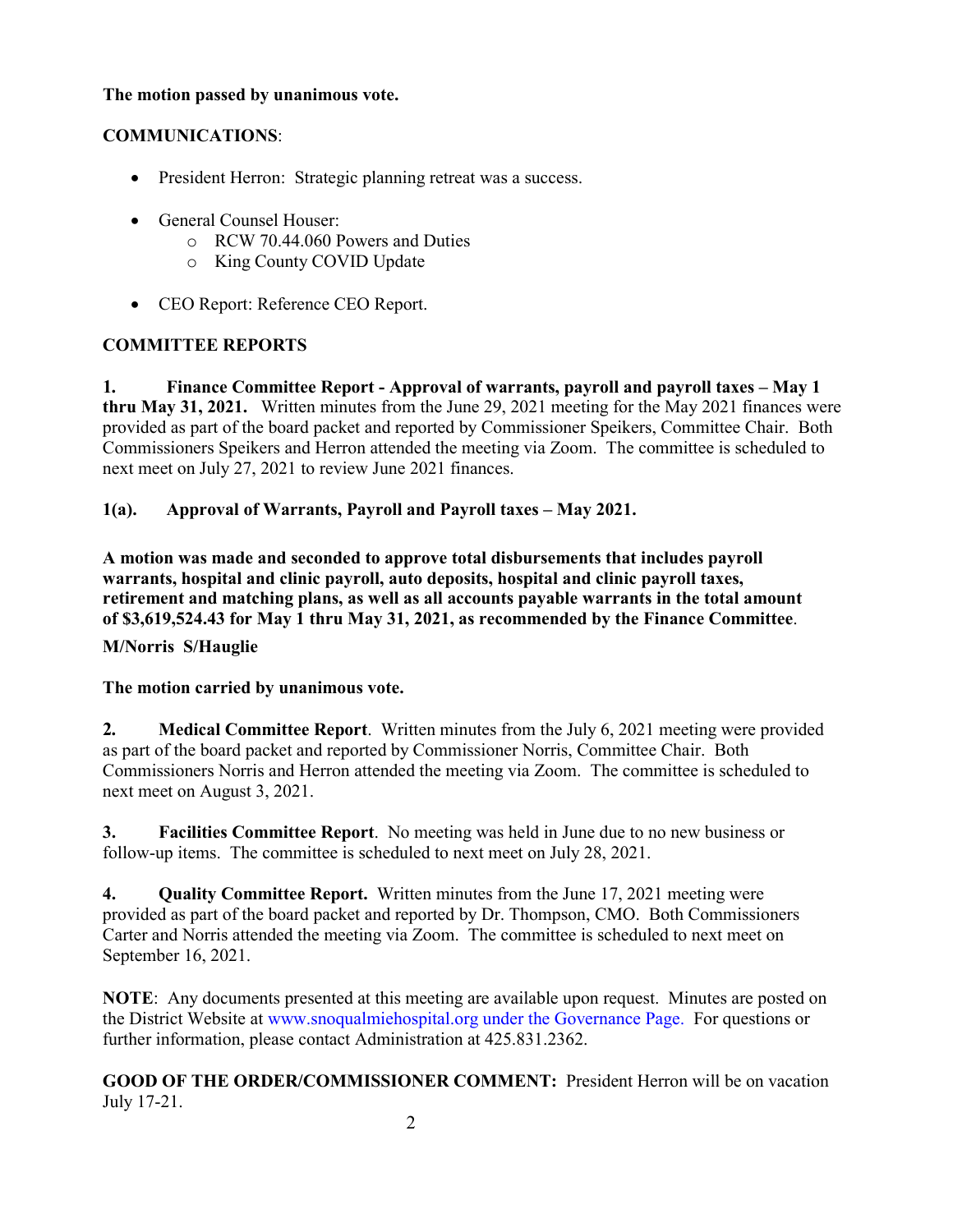## **The motion passed by unanimous vote.**

# **COMMUNICATIONS**:

- President Herron: Strategic planning retreat was a success.
- General Counsel Houser:
	- o RCW 70.44.060 Powers and Duties
	- o King County COVID Update
- CEO Report: Reference CEO Report.

# **COMMITTEE REPORTS**

**1. Finance Committee Report - Approval of warrants, payroll and payroll taxes – May 1 thru May 31, 2021.** Written minutes from the June 29, 2021 meeting for the May 2021 finances were provided as part of the board packet and reported by Commissioner Speikers, Committee Chair. Both Commissioners Speikers and Herron attended the meeting via Zoom. The committee is scheduled to next meet on July 27, 2021 to review June 2021 finances.

## **1(a). Approval of Warrants, Payroll and Payroll taxes – May 2021.**

**A motion was made and seconded to approve total disbursements that includes payroll warrants, hospital and clinic payroll, auto deposits, hospital and clinic payroll taxes, retirement and matching plans, as well as all accounts payable warrants in the total amount of \$3,619,524.43 for May 1 thru May 31, 2021, as recommended by the Finance Committee**.

**M/Norris S/Hauglie**

### **The motion carried by unanimous vote.**

**2. Medical Committee Report**. Written minutes from the July 6, 2021 meeting were provided as part of the board packet and reported by Commissioner Norris, Committee Chair. Both Commissioners Norris and Herron attended the meeting via Zoom. The committee is scheduled to next meet on August 3, 2021.

**3. Facilities Committee Report**. No meeting was held in June due to no new business or follow-up items. The committee is scheduled to next meet on July 28, 2021.

**4. Quality Committee Report.** Written minutes from the June 17, 2021 meeting were provided as part of the board packet and reported by Dr. Thompson, CMO. Both Commissioners Carter and Norris attended the meeting via Zoom. The committee is scheduled to next meet on September 16, 2021.

**NOTE**: Any documents presented at this meeting are available upon request. Minutes are posted on the District Website at www.snoqualmiehospital.org under the Governance Page. For questions or further information, please contact Administration at 425.831.2362.

**GOOD OF THE ORDER/COMMISSIONER COMMENT:** President Herron will be on vacation July 17-21.